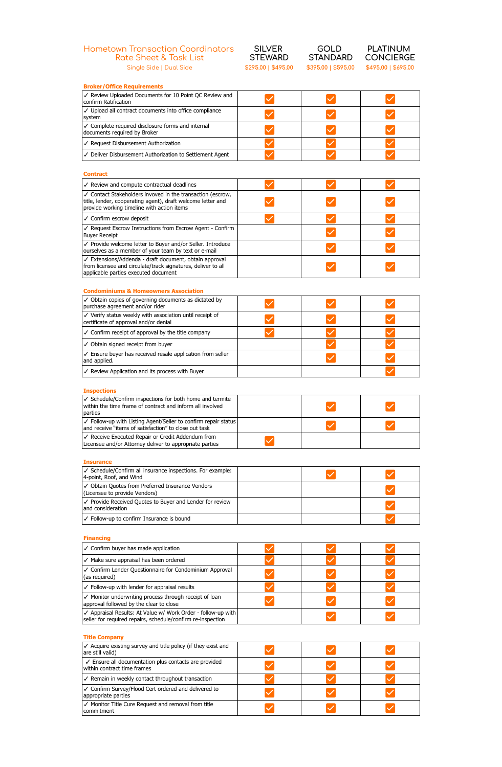## Hometown Transaction Coordinators Rate Sheet & Task List Single Side | Dual Side **\$295.00 | \$495.00 \$395.00 | \$595.00 \$495.00 | \$695.00**

| SILVER              |  |  |
|---------------------|--|--|
| <b>STEWARD</b>      |  |  |
| \$295.00   \$495.00 |  |  |

**GOLD STANDARD**<br>\$395.00 | \$595.00

**PLATINUM**  CONCIERGE<br>\$495.00 | \$695.00

| <b>Broker/Office Requirements</b>                                                                                                                                       |  |  |
|-------------------------------------------------------------------------------------------------------------------------------------------------------------------------|--|--|
| √ Review Uploaded Documents for 10 Point QC Review and<br>confirm Ratification                                                                                          |  |  |
| √ Upload all contract documents into office compliance<br>system                                                                                                        |  |  |
| ✓ Complete required disclosure forms and internal<br>documents required by Broker                                                                                       |  |  |
| √ Request Disbursement Authorization                                                                                                                                    |  |  |
| √ Deliver Disbursement Authorization to Settlement Agent                                                                                                                |  |  |
|                                                                                                                                                                         |  |  |
| <b>Contract</b>                                                                                                                                                         |  |  |
| ✓ Review and compute contractual deadlines                                                                                                                              |  |  |
| ✓ Contact Stakeholders invoved in the transaction (escrow,<br>title, lender, cooperating agent), draft welcome letter and<br>provide working timeline with action items |  |  |
| ✓ Confirm escrow deposit                                                                                                                                                |  |  |
| √ Request Escrow Instructions from Escrow Agent - Confirm<br><b>Buyer Receipt</b>                                                                                       |  |  |
| √ Provide welcome letter to Buyer and/or Seller. Introduce<br>ourselves as a member of your team by text or e-mail                                                      |  |  |
| √ Extensions/Addenda - draft document, obtain approval<br>from licensee and circulate/track signatures, deliver to all<br>applicable parties executed document          |  |  |
| <b>Condominiums &amp; Homeowners Association</b>                                                                                                                        |  |  |
| ✓ Obtain copies of governing documents as dictated by<br>purchase agreement and/or rider                                                                                |  |  |
| √ Verify status weekly with association until receipt of<br>certificate of approval and/or denial                                                                       |  |  |
| ✓ Confirm receipt of approval by the title company                                                                                                                      |  |  |
| $\checkmark$ Obtain signed receipt from buyer                                                                                                                           |  |  |
| ✓ Ensure buyer has received resale application from seller<br>and applied.                                                                                              |  |  |
| ✓ Review Application and its process with Buyer                                                                                                                         |  |  |
|                                                                                                                                                                         |  |  |
| <b>Inspections</b>                                                                                                                                                      |  |  |
| ✓ Schedule/Confirm inspections for both home and termite<br>within the time frame of contract and inform all involved<br>parties                                        |  |  |
| ✓ Follow-up with Listing Agent/Seller to confirm repair status<br>and receive "items of satisfaction" to close out task                                                 |  |  |
| √ Receive Executed Repair or Credit Addendum from<br>Licensee and/or Attorney deliver to appropriate parties                                                            |  |  |
|                                                                                                                                                                         |  |  |
| <b>Insurance</b>                                                                                                                                                        |  |  |
| ✓ Schedule/Confirm all insurance inspections. For example:<br>4-point, Roof, and Wind                                                                                   |  |  |
| √ Obtain Quotes from Preferred Insurance Vendors<br>(Licensee to provide Vendors)                                                                                       |  |  |
| √ Provide Received Quotes to Buyer and Lender for review<br>and consideration                                                                                           |  |  |
| √ Follow-up to confirm Insurance is bound                                                                                                                               |  |  |
| <b>Financing</b>                                                                                                                                                        |  |  |
| $\checkmark$ Confirm buyer has made application                                                                                                                         |  |  |
| $\checkmark$ Make sure appraisal has been ordered                                                                                                                       |  |  |
| ✓ Confirm Lender Questionnaire for Condominium Annroya                                                                                                                  |  |  |

✓ Confirm Lender Questionnaire for Condominium Approval  $\checkmark$  $\checkmark$  $\blacktriangledown$ (as required)  $\checkmark$  Follow-up with lender for appraisal results  $\blacktriangledown$  $\blacktriangledown$  $\blacktriangledown$ ✓ Monitor underwriting process through receipt of loan  $\blacktriangledown$  $\blacktriangledown$  $\blacktriangledown$ approval followed by the clear to close ✓ Appraisal Results: At Value w/ Work Order - follow-up with  $\blacktriangledown$  $\blacktriangledown$ seller for required repairs, schedule/confirm re-inspection

## **Title Company**

| $\checkmark$ Acquire existing survey and title policy (if they exist and<br>are still valid) |  |  |
|----------------------------------------------------------------------------------------------|--|--|
| ✓ Ensure all documentation plus contacts are provided<br>within contract time frames         |  |  |
| ✓ Remain in weekly contact throughout transaction                                            |  |  |
| ✓ Confirm Survey/Flood Cert ordered and delivered to<br>appropriate parties                  |  |  |
| √ Monitor Title Cure Request and removal from title<br>l commitment                          |  |  |